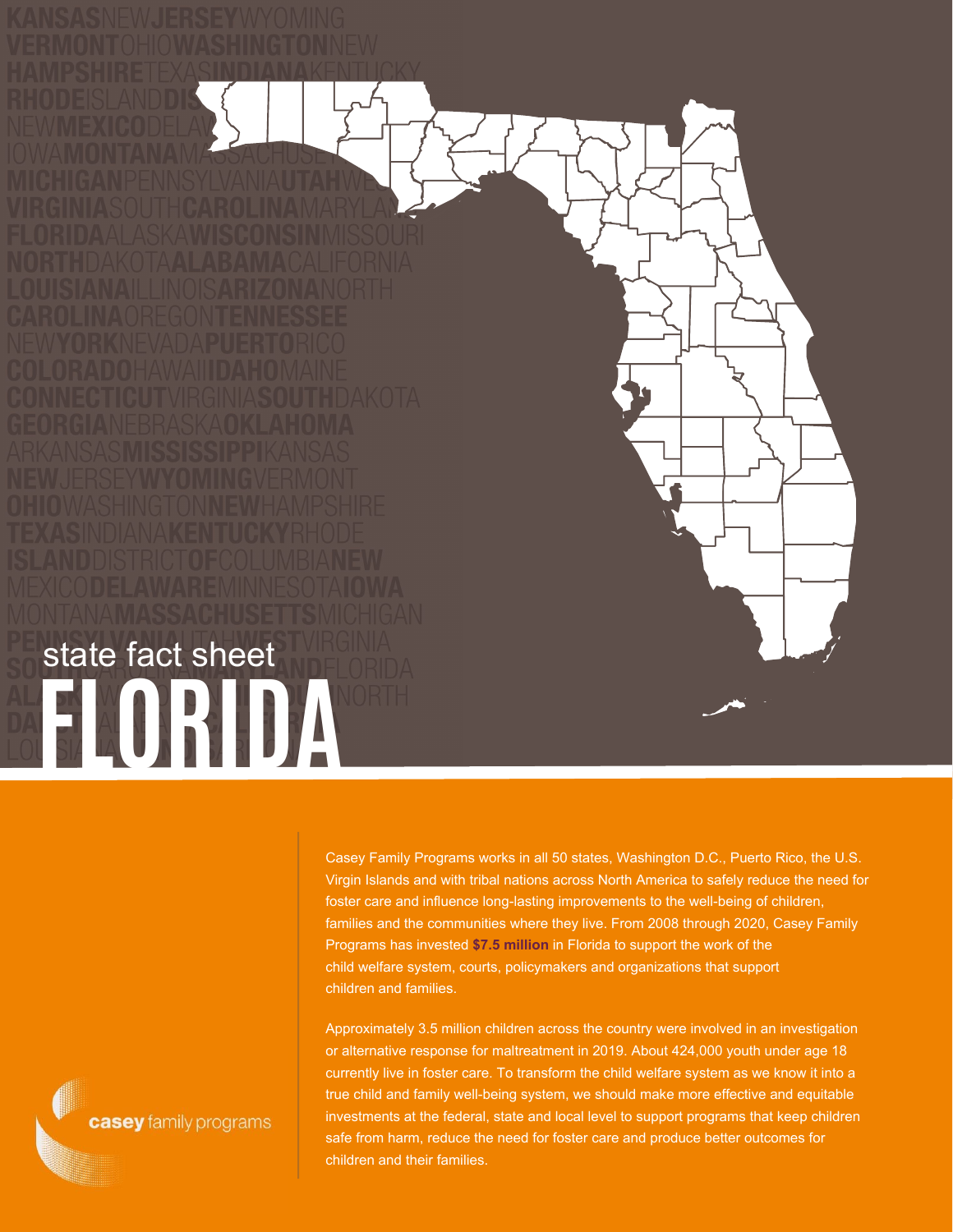**FLORIDA** state fact sheet

> Casey Family Programs works in all 50 states, Washington D.C., Puerto Rico, the U.S. Virgin Islands and with tribal nations across North America to safely reduce the need for foster care and influence long-lasting improvements to the well-being of children, families and the communities where they live. From 2008 through 2020, Casey Family Programs has invested **\$7.5 million** in Florida to support the work of the child welfare system, courts, policymakers and organizations that support children and families.

Approximately 3.5 million children across the country were involved in an investigation or alternative response for maltreatment in 2019. About 424,000 youth under age 18 currently live in foster care. To transform the child welfare system as we know it into a true child and family well-being system, we should make more effective and equitable investments at the federal, state and local level to support programs that keep children safe from harm, reduce the need for foster care and produce better outcomes for children and their families.

casey family programs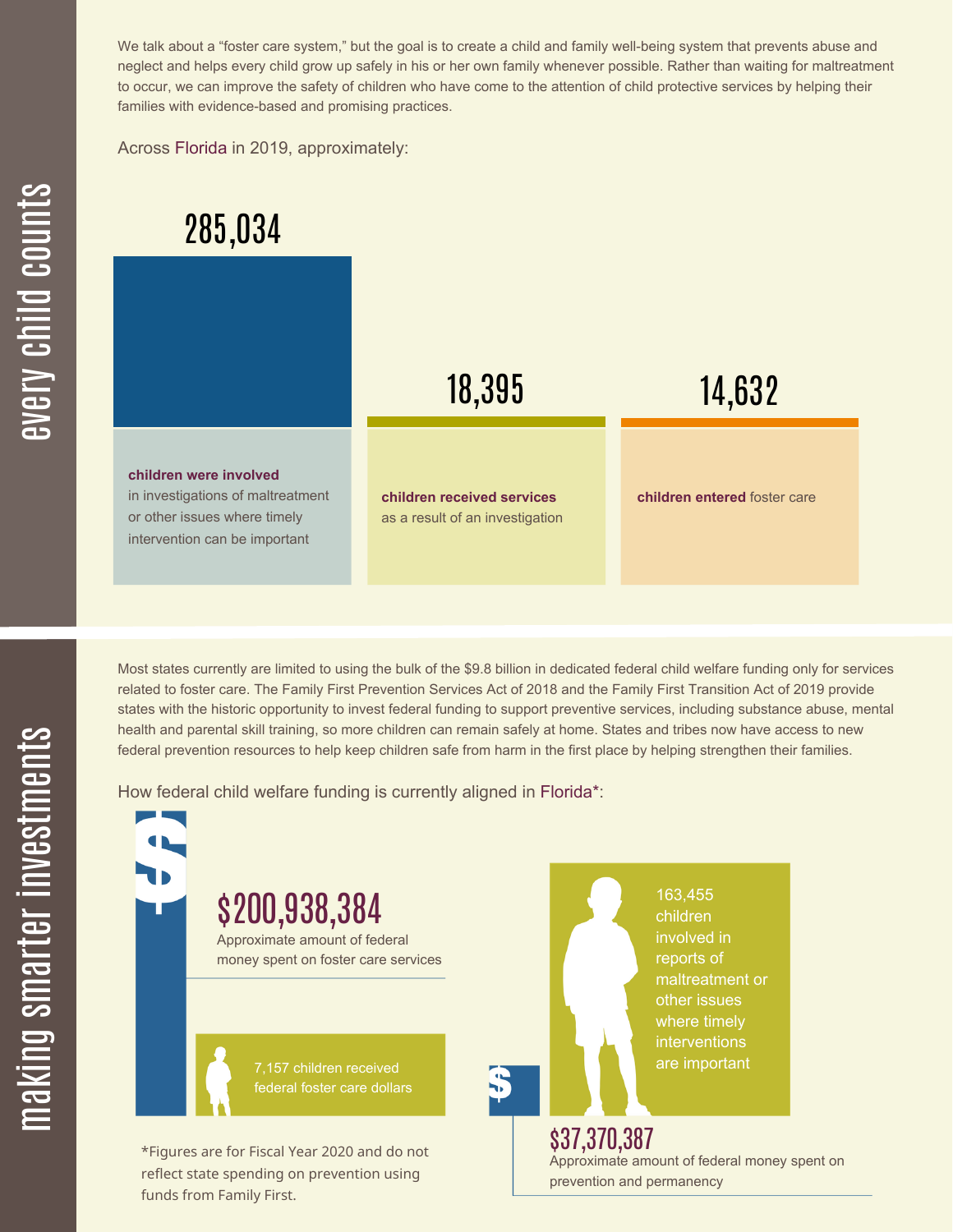We talk about a "foster care system," but the goal is to create a child and family well-being system that prevents abuse and neglect and helps every child grow up safely in his or her own family whenever possible. Rather than waiting for maltreatment to occur, we can improve the safety of children who have come to the attention of child protective services by helping their families with evidence-based and promising practices.

Across Florida in 2019, approximately:



Most states currently are limited to using the bulk of the \$9.8 billion in dedicated federal child welfare funding only for services related to foster care. The Family First Prevention Services Act of 2018 and the Family First Transition Act of 2019 provide states with the historic opportunity to invest federal funding to support preventive services, including substance abuse, mental health and parental skill training, so more children can remain safely at home. States and tribes now have access to new federal prevention resources to help keep children safe from harm in the first place by helping strengthen their families.

How federal child welfare funding is currently aligned in Florida\*:

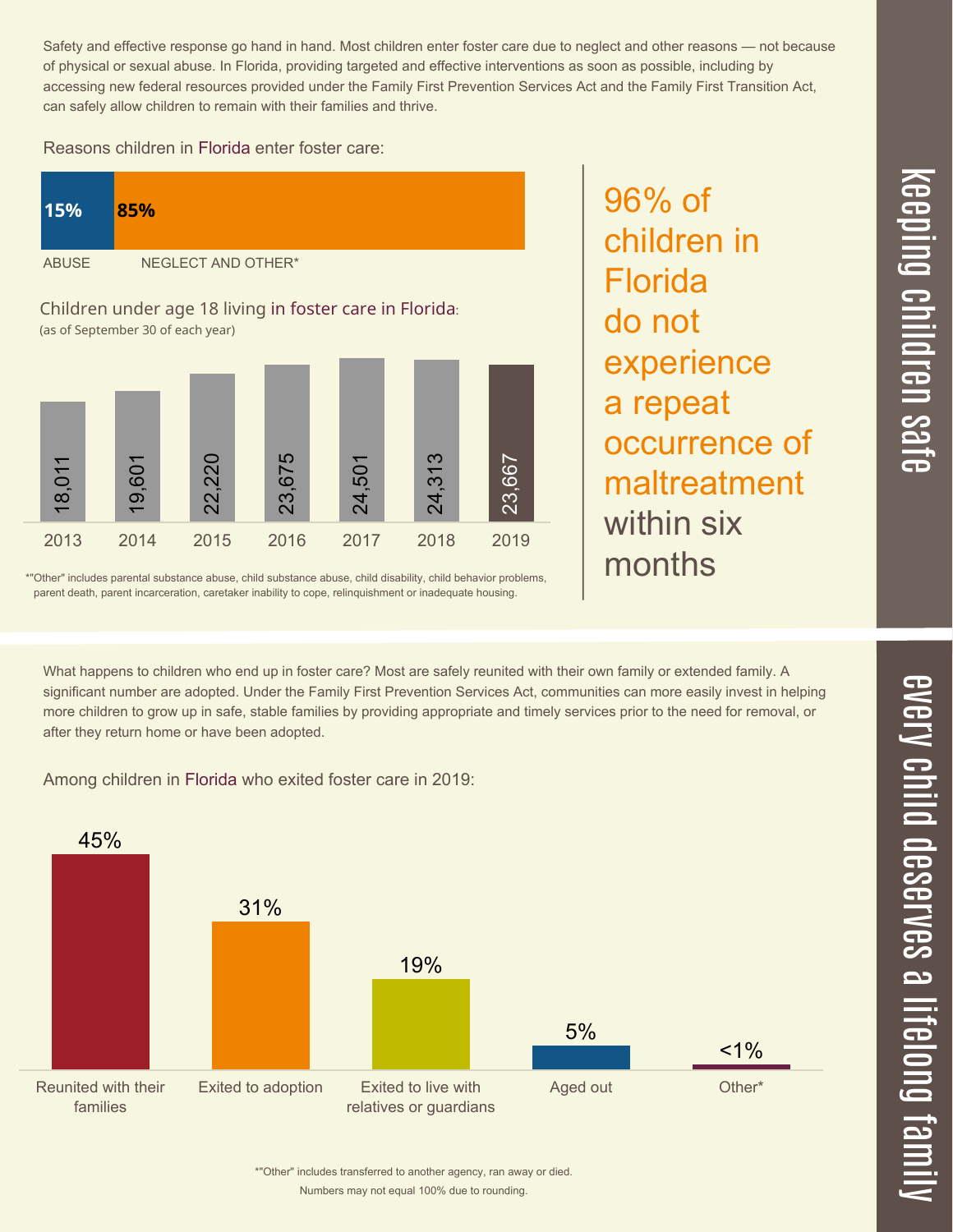$\overline{\mathbf \Theta}$  $\overline{\mathbf{C}}$ <u>pin</u>  $\overline{\mathbf{C}}$  $\overline{\mathbf{C}}$  $\equiv$  $\overline{\mathbf{c}}$  $\overline{\phantom{0}}$  $\boldsymbol{\mathcal{O}}$ a  $\overrightarrow{\mathbf{e}}$ 

 $\overline{\phantom{1}}$ 

Safety and effective response go hand in hand. Most children enter foster care due to neglect and other reasons — not because of physical or sexual abuse. In Florida, providing targeted and effective interventions as soon as possible, including by accessing new federal resources provided under the Family First Prevention Services Act and the Family First Transition Act, can safely allow children to remain with their families and thrive.

96% of

Florida

do not

children in

experience

occurrence of

maltreatment

a repeat

within six

months

## Reasons children in Florida enter foster care:



\*"Other" includes parental substance abuse, child substance abuse, child disability, child behavior problems, parent death, parent incarceration, caretaker inability to cope, relinquishment or inadequate housing.

What happens to children who end up in foster care? Most are safely reunited with their own family or extended family. A significant number are adopted. Under the Family First Prevention Services Act, communities can more easily invest in helping more children to grow up in safe, stable families by providing appropriate and timely services prior to the need for removal, or after they return home or have been adopted.

Among children in Florida who exited foster care in 2019:



Numbers may not equal 100% due to rounding. \*"Other" includes transferred to another agency, ran away or died.  $\overline{\mathbf{C}}$  $\leq$  $\overline{\mathbf{C}}$